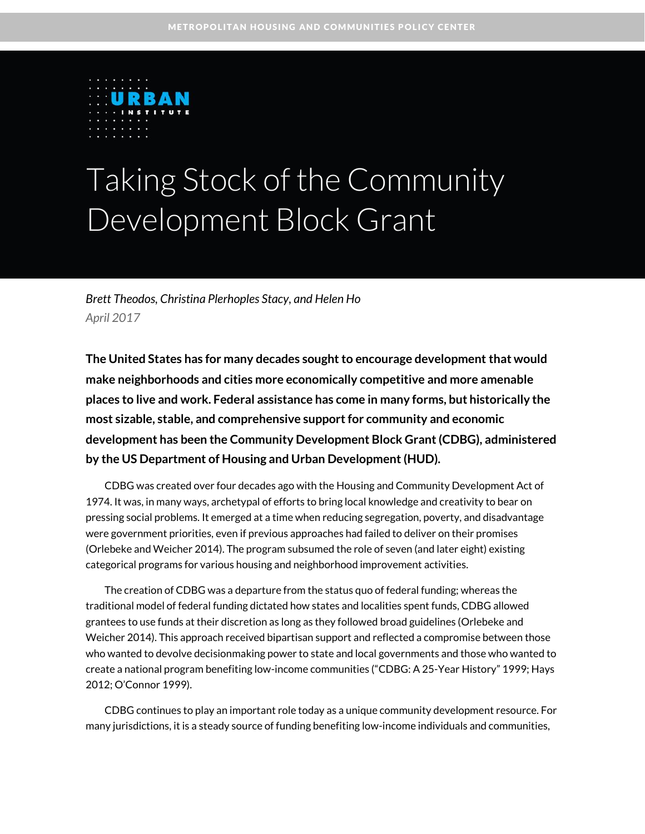

# Taking Stock of the Community Development Block Grant

*Brett Theodos, Christina Plerhoples Stacy, and Helen Ho April 2017*

**The United States has for many decades sought to encourage development that would make neighborhoods and cities more economically competitive and more amenable places to live and work. Federal assistance has come in many forms, but historically the most sizable, stable, and comprehensive support for community and economic development has been the Community Development Block Grant (CDBG), administered by the US Department of Housing and Urban Development (HUD).**

CDBG was created over four decades ago with the Housing and Community Development Act of 1974. It was, in many ways, archetypal of efforts to bring local knowledge and creativity to bear on pressing social problems. It emerged at a time when reducing segregation, poverty, and disadvantage were government priorities, even if previous approaches had failed to deliver on their promises (Orlebeke and Weicher 2014). The program subsumed the role of seven (and later eight) existing categorical programs for various housing and neighborhood improvement activities.

The creation of CDBG was a departure from the status quo of federal funding; whereas the traditional model of federal funding dictated how states and localities spent funds, CDBG allowed grantees to use funds at their discretion as long as they followed broad guidelines (Orlebeke and Weicher 2014). This approach received bipartisan support and reflected a compromise between those who wanted to devolve decisionmaking power to state and local governments and those who wanted to create a national program benefiting low-income communities ("CDBG: A 25-Year History" 1999; Hays 2012; O'Connor 1999).

CDBG continues to play an important role today as a unique community development resource. For many jurisdictions, it is a steady source of funding benefiting low-income individuals and communities,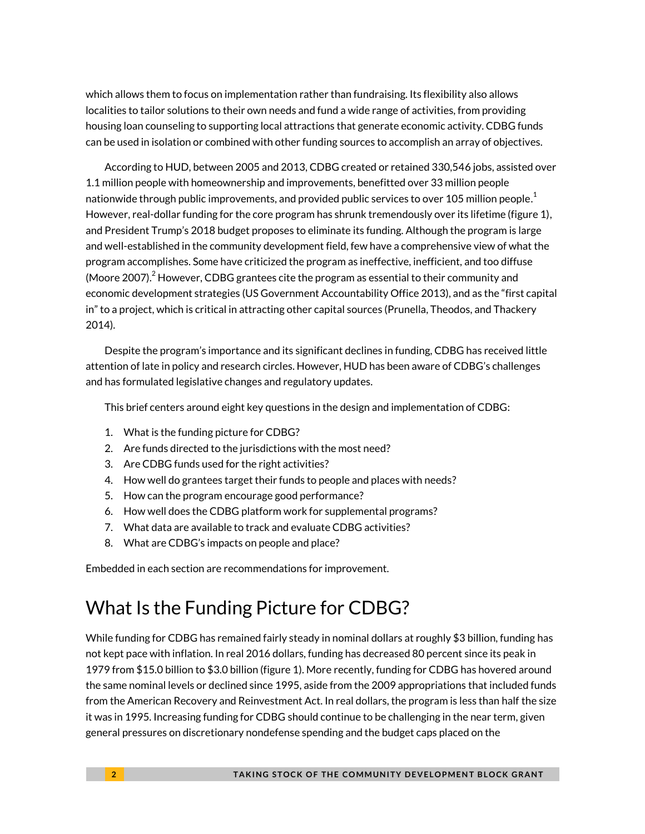which allows them to focus on implementation rather than fundraising. Its flexibility also allows localities to tailor solutions to their own needs and fund a wide range of activities, from providing housing loan counseling to supporting local attractions that generate economic activity. CDBG funds can be used in isolation or combined with other funding sources to accomplish an array of objectives.

According to HUD, between 2005 and 2013, CDBG created or retained 330,546 jobs, assisted over 1.1 million people with homeownership and improvements, benefitted over 33 million people nationwide through public improvements, and provided public services to over [1](#page-14-0)05 million people. $^{\rm 1}$ However, real-dollar funding for the core program has shrunk tremendously over its lifetime (figure 1), and President Trump's 2018 budget proposes to eliminate its funding. Although the program is large and well-established in the community development field, few have a comprehensive view of what the program accomplishes. Some have criticized the program as ineffective, inefficient, and too diffuse (Moore [2](#page-14-1)007). $^2$  However, CDBG grantees cite the program as essential to their community and economic development strategies (US Government Accountability Office 2013), and as the "first capital in" to a project, which is critical in attracting other capital sources (Prunella, Theodos, and Thackery 2014).

Despite the program's importance and its significant declines in funding, CDBG has received little attention of late in policy and research circles. However, HUD has been aware of CDBG's challenges and has formulated legislative changes and regulatory updates.

This brief centers around eight key questions in the design and implementation of CDBG:

- 1. What is the funding picture for CDBG?
- 2. Are funds directed to the jurisdictions with the most need?
- 3. Are CDBG funds used for the right activities?
- 4. How well do grantees target their funds to people and places with needs?
- 5. How can the program encourage good performance?
- 6. How well does the CDBG platform work for supplemental programs?
- 7. What data are available to track and evaluate CDBG activities?
- 8. What are CDBG's impacts on people and place?

Embedded in each section are recommendations for improvement.

# What Is the Funding Picture for CDBG?

While funding for CDBG has remained fairly steady in nominal dollars at roughly \$3 billion, funding has not kept pace with inflation. In real 2016 dollars, funding has decreased 80 percent since its peak in 1979 from \$15.0 billion to \$3.0 billion (figure 1). More recently, funding for CDBG has hovered around the same nominal levels or declined since 1995, aside from the 2009 appropriations that included funds from the American Recovery and Reinvestment Act. In real dollars, the program is less than half the size it was in 1995. Increasing funding for CDBG should continue to be challenging in the near term, given general pressures on discretionary nondefense spending and the budget caps placed on the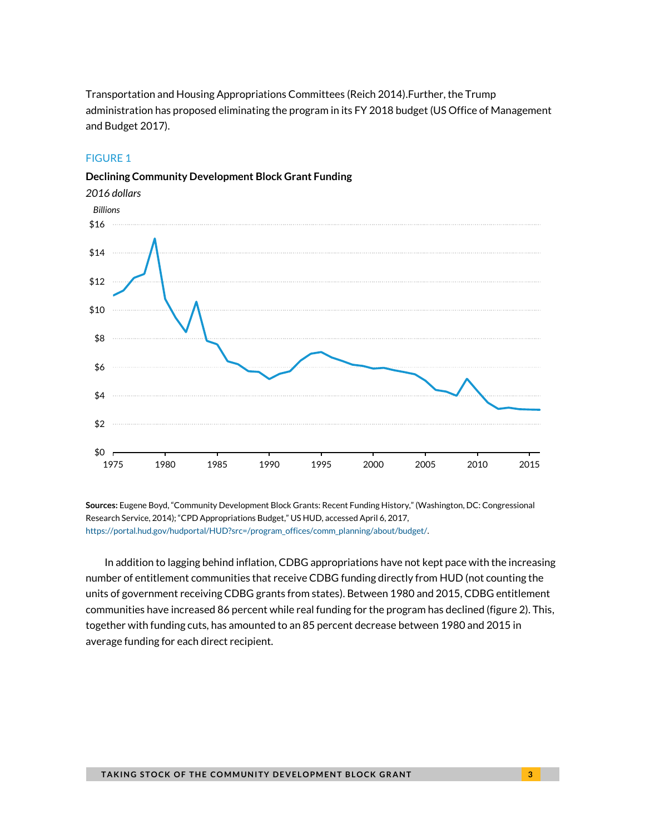Transportation and Housing Appropriations Committees (Reich 2014).Further, the Trump administration has proposed eliminating the program in its FY 2018 budget (US Office of Management and Budget 2017).

#### FIGURE 1





**Sources:** Eugene Boyd, "Community Development Block Grants: Recent Funding History," (Washington, DC: Congressional Research Service, 2014); "CPD Appropriations Budget," US HUD, accessed April 6, 2017, [https://portal.hud.gov/hudportal/HUD?src=/program\\_offices/comm\\_planning/about/budget/.](https://portal.hud.gov/hudportal/HUD?src=/program_offices/comm_planning/about/budget/)

In addition to lagging behind inflation, CDBG appropriations have not kept pace with the increasing number of entitlement communities that receive CDBG funding directly from HUD (not counting the units of government receiving CDBG grants from states). Between 1980 and 2015, CDBG entitlement communities have increased 86 percent while real funding for the program has declined (figure 2). This, together with funding cuts, has amounted to an 85 percent decrease between 1980 and 2015 in average funding for each direct recipient.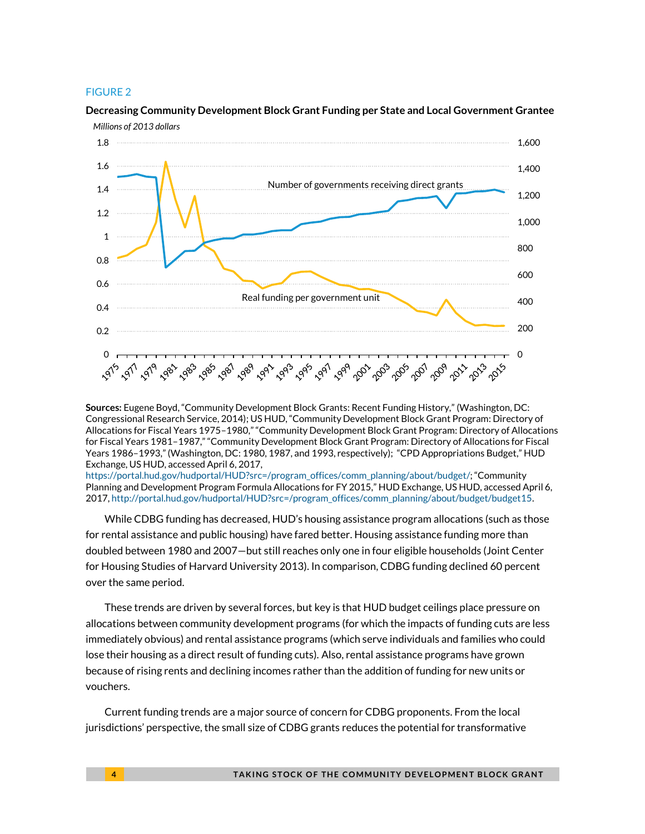#### FIGURE 2



### **Decreasing Community Development Block Grant Funding per State and Local Government Grantee**

**Sources:** Eugene Boyd, "Community Development Block Grants: Recent Funding History," (Washington, DC: Congressional Research Service, 2014); US HUD, "Community Development Block Grant Program: Directory of Allocations for Fiscal Years 1975–1980," "Community Development Block Grant Program: Directory of Allocations for Fiscal Years 1981–1987," "Community Development Block Grant Program: Directory of Allocations for Fiscal Years 1986–1993," (Washington, DC: 1980, 1987, and 1993, respectively); "CPD Appropriations Budget," HUD Exchange, US HUD, accessed April 6, 2017,

[https://portal.hud.gov/hudportal/HUD?src=/program\\_offices/comm\\_planning/about/budget/;](https://portal.hud.gov/hudportal/HUD?src=/program_offices/comm_planning/about/budget/) "Community Planning and Development Program Formula Allocations for FY 2015," HUD Exchange, US HUD, accessed April 6, 2017, [http://portal.hud.gov/hudportal/HUD?src=/program\\_offices/comm\\_planning/about/budget/budget15.](http://portal.hud.gov/hudportal/HUD?src=/program_offices/comm_planning/about/budget/budget15)

While CDBG funding has decreased, HUD's housing assistance program allocations (such as those for rental assistance and public housing) have fared better. Housing assistance funding more than doubled between 1980 and 2007—but still reaches only one in four eligible households (Joint Center for Housing Studies of Harvard University 2013). In comparison, CDBG funding declined 60 percent over the same period.

These trends are driven by several forces, but key is that HUD budget ceilings place pressure on allocations between community development programs (for which the impacts of funding cuts are less immediately obvious) and rental assistance programs (which serve individuals and families who could lose their housing as a direct result of funding cuts). Also, rental assistance programs have grown because of rising rents and declining incomes rather than the addition of funding for new units or vouchers.

Current funding trends are a major source of concern for CDBG proponents. From the local jurisdictions' perspective, the small size of CDBG grants reduces the potential for transformative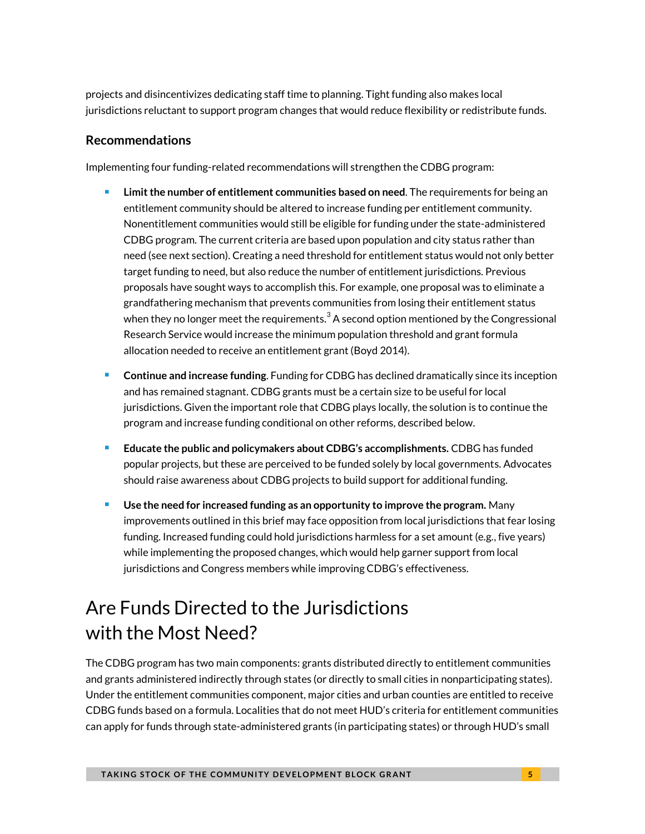projects and disincentivizes dedicating staff time to planning. Tight funding also makes local jurisdictions reluctant to support program changes that would reduce flexibility or redistribute funds.

### **Recommendations**

Implementing four funding-related recommendations will strengthen the CDBG program:

- **Limit the number of entitlement communities based on need**. The requirements for being an entitlement community should be altered to increase funding per entitlement community. Nonentitlement communities would still be eligible for funding under the state-administered CDBG program. The current criteria are based upon population and city status rather than need (see next section). Creating a need threshold for entitlement status would not only better target funding to need, but also reduce the number of entitlement jurisdictions. Previous proposals have sought ways to accomplish this. For example, one proposal was to eliminate a grandfathering mechanism that prevents communities from losing their entitlement status when they no longer meet the requirements.<sup>[3](#page-14-2)</sup> A second option mentioned by the Congressional Research Service would increase the minimum population threshold and grant formula allocation needed to receive an entitlement grant (Boyd 2014).
- **Continue and increase funding**. Funding for CDBG has declined dramatically since its inception and has remained stagnant. CDBG grants must be a certain size to be useful for local jurisdictions. Given the important role that CDBG plays locally, the solution is to continue the program and increase funding conditional on other reforms, described below.
- **Educate the public and policymakers about CDBG's accomplishments. CDBG has funded <b>Fig. 3.** popular projects, but these are perceived to be funded solely by local governments. Advocates should raise awareness about CDBG projects to build support for additional funding.
- **Use the need for increased funding as an opportunity to improve the program.** Many improvements outlined in this brief may face opposition from local jurisdictions that fear losing funding. Increased funding could hold jurisdictions harmless for a set amount (e.g., five years) while implementing the proposed changes, which would help garner support from local jurisdictions and Congress members while improving CDBG's effectiveness.

# Are Funds Directed to the Jurisdictions with the Most Need?

The CDBG program has two main components: grants distributed directly to entitlement communities and grants administered indirectly through states (or directly to small cities in nonparticipating states). Under the entitlement communities component, major cities and urban counties are entitled to receive CDBG funds based on a formula. Localities that do not meet HUD's criteria for entitlement communities can apply for funds through state-administered grants (in participating states) or through HUD's small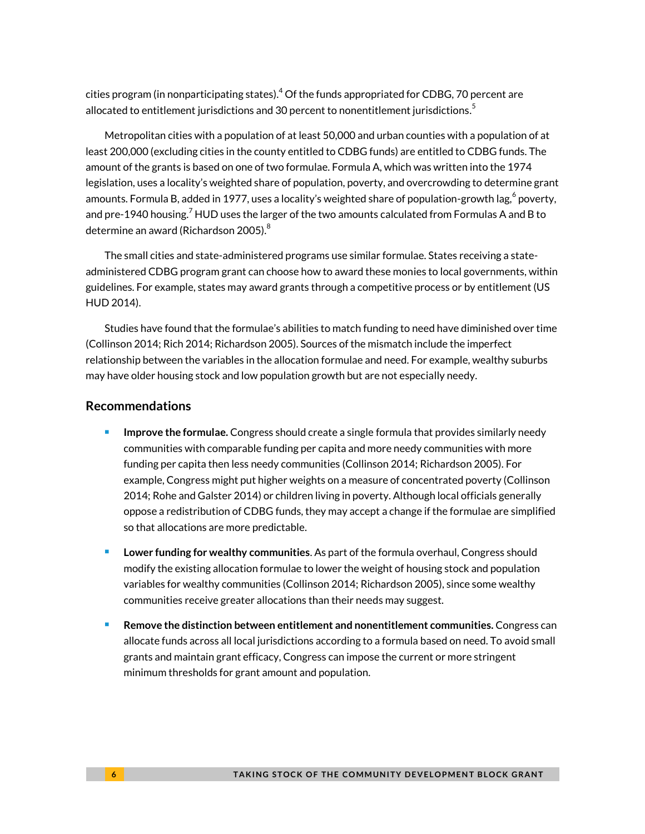cities program (in nonparticipating states[\).](#page-14-3) $^4$  Of the funds appropriated for CDBG, 70 percent are allocated to entitlement jurisdictions and 30 percent to nonentitlement jurisdictions. $^{\rm 5}$  $^{\rm 5}$  $^{\rm 5}$ 

Metropolitan cities with a population of at least 50,000 and urban counties with a population of at least 200,000 (excluding cities in the county entitled to CDBG funds) are entitled to CDBG funds. The amount of the grants is based on one of two formulae. Formula A, which was written into the 1974 legislation, uses a locality's weighted share of population, poverty, and overcrowding to determine grant amounts. Formula B, added in 1977, uses a locality's weighted share of population-growth lag, $^6$  $^6$  poverty, and pre-1940 housing.<sup>[7](#page-14-6)</sup> HUD uses the larger of the two amounts calculated from Formulas A and B to determine an award (Richardson 2005). $^8$  $^8$ 

The small cities and state-administered programs use similar formulae. States receiving a stateadministered CDBG program grant can choose how to award these monies to local governments, within guidelines. For example, states may award grants through a competitive process or by entitlement (US HUD 2014).

Studies have found that the formulae's abilities to match funding to need have diminished over time (Collinson 2014; Rich 2014; Richardson 2005). Sources of the mismatch include the imperfect relationship between the variables in the allocation formulae and need. For example, wealthy suburbs may have older housing stock and low population growth but are not especially needy.

#### **Recommendations**

- **Improve the formulae.** Congress should create a single formula that provides similarly needy communities with comparable funding per capita and more needy communities with more funding per capita then less needy communities (Collinson 2014; Richardson 2005). For example, Congress might put higher weights on a measure of concentrated poverty (Collinson 2014; Rohe and Galster 2014) or children living in poverty. Although local officials generally oppose a redistribution of CDBG funds, they may accept a change if the formulae are simplified so that allocations are more predictable.
- **Lower funding for wealthy communities**. As part of the formula overhaul, Congress should modify the existing allocation formulae to lower the weight of housing stock and population variables for wealthy communities (Collinson 2014; Richardson 2005), since some wealthy communities receive greater allocations than their needs may suggest.
- **Remove the distinction between entitlement and nonentitlement communities.** Congress can allocate funds across all local jurisdictions according to a formula based on need. To avoid small grants and maintain grant efficacy, Congress can impose the current or more stringent minimum thresholds for grant amount and population.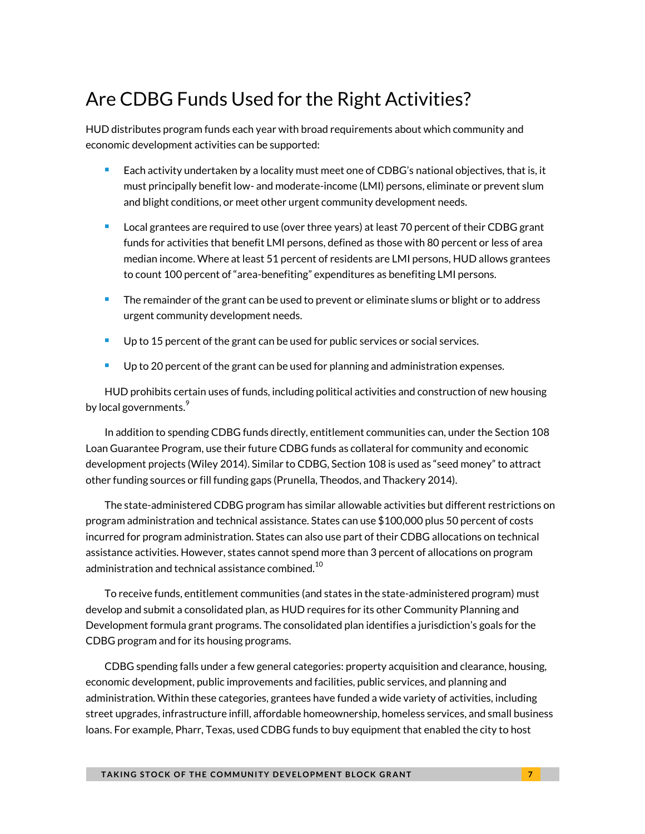### Are CDBG Funds Used for the Right Activities?

HUD distributes program funds each year with broad requirements about which community and economic development activities can be supported:

- **Each activity undertaken by a locality must meet one of CDBG's national objectives, that is, it** must principally benefit low- and moderate-income (LMI) persons, eliminate or prevent slum and blight conditions, or meet other urgent community development needs.
- **Local grantees are required to use (over three years) at least 70 percent of their CDBG grant** funds for activities that benefit LMI persons, defined as those with 80 percent or less of area median income. Where at least 51 percent of residents are LMI persons, HUD allows grantees to count 100 percent of "area-benefiting" expenditures as benefiting LMI persons.
- The remainder of the grant can be used to prevent or eliminate slums or blight or to address urgent community development needs.
- **Up to 15 percent of the grant can be used for public services or social services.**
- Up to 20 percent of the grant can be used for planning and administration expenses.

HUD prohibits certain uses of funds, including political activities and construction of new housing by local governments. $\degree$ 

In addition to spending CDBG funds directly, entitlement communities can, under the Section 108 Loan Guarantee Program, use their future CDBG funds as collateral for community and economic development projects (Wiley 2014). Similar to CDBG, Section 108 is used as "seed money" to attract other funding sources or fill funding gaps (Prunella, Theodos, and Thackery 2014).

The state-administered CDBG program has similar allowable activities but different restrictions on program administration and technical assistance. States can use \$100,000 plus 50 percent of costs incurred for program administration. States can also use part of their CDBG allocations on technical assistance activities. However, states cannot spend more than 3 percent of allocations on program administration and technical assistance combined. $^{10}$  $^{10}$  $^{10}$ 

To receive funds, entitlement communities (and states in the state-administered program) must develop and submit a consolidated plan, as HUD requires for its other Community Planning and Development formula grant programs. The consolidated plan identifies a jurisdiction's goals for the CDBG program and for its housing programs.

CDBG spending falls under a few general categories: property acquisition and clearance, housing, economic development, public improvements and facilities, public services, and planning and administration. Within these categories, grantees have funded a wide variety of activities, including street upgrades, infrastructure infill, affordable homeownership, homeless services, and small business loans. For example, Pharr, Texas, used CDBG funds to buy equipment that enabled the city to host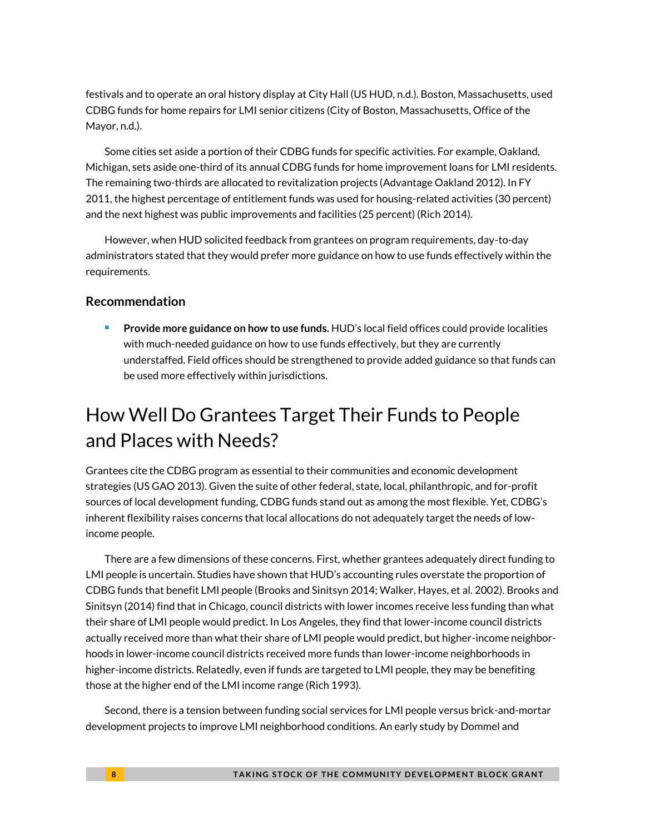festivals and to operate an oral history display at City Hall (US HUD, n.d.). Boston, Massachusetts, used CDBG funds for home repairs for LMI senior citizens (City of Boston, Massachusetts, Office of the Mayor, n.d.).

Some cities set aside a portion of their CDBG funds for specific activities. For example, Oakland, Michigan, sets aside one-third of its annual CDBG funds for home improvement loans for LMI residents. The remaining two-thirds are allocated to revitalization projects (Advantage Oakland 2012). In FY 2011, the highest percentage of entitlement funds was used for housing-related activities (30 percent) and the next highest was public improvements and facilities (25 percent) (Rich 2014).

However, when HUD solicited feedback from grantees on program requirements, day-to-day administrators stated that they would prefer more guidance on how to use funds effectively within the requirements.

#### **Recommendation**

 **Provide more guidance on how to use funds.** HUD's local field offices could provide localities with much-needed guidance on how to use funds effectively, but they are currently understaffed. Field offices should be strengthened to provide added guidance so that funds can be used more effectively within jurisdictions.

### How Well Do Grantees Target Their Funds to People and Places with Needs?

Grantees cite the CDBG program as essential to their communities and economic development strategies (US GAO 2013). Given the suite of other federal, state, local, philanthropic, and for-profit sources of local development funding, CDBG funds stand out as among the most flexible. Yet, CDBG's inherent flexibility raises concerns that local allocations do not adequately target the needs of lowincome people.

There are a few dimensions of these concerns. First, whether grantees adequately direct funding to LMI people is uncertain. Studies have shown that HUD's accounting rules overstate the proportion of CDBG funds that benefit LMI people (Brooks and Sinitsyn 2014; Walker, Hayes, et al. 2002). Brooks and Sinitsyn (2014) find that in Chicago, council districts with lower incomes receive less funding than what their share of LMI people would predict. In Los Angeles, they find that lower-income council districts actually received more than what their share of LMI people would predict, but higher-income neighborhoods in lower-income council districts received more funds than lower-income neighborhoods in higher-income districts. Relatedly, even if funds are targeted to LMI people, they may be benefiting those at the higher end of the LMI income range (Rich 1993).

Second, there is a tension between funding social services for LMI people versus brick-and-mortar development projects to improve LMI neighborhood conditions. An early study by Dommel and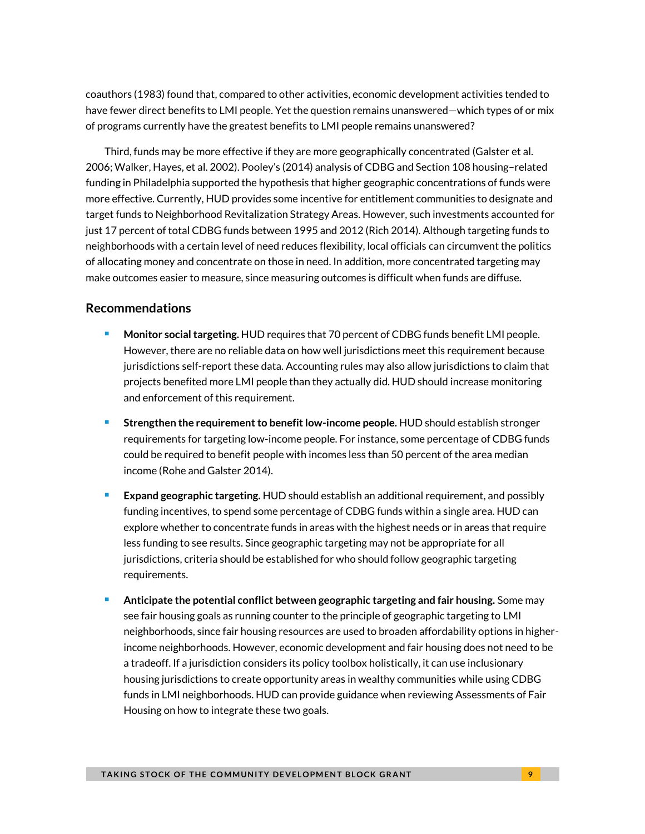coauthors (1983) found that, compared to other activities, economic development activities tended to have fewer direct benefits to LMI people. Yet the question remains unanswered—which types of or mix of programs currently have the greatest benefits to LMI people remains unanswered?

Third, funds may be more effective if they are more geographically concentrated (Galster et al. 2006; Walker, Hayes, et al. 2002). Pooley's (2014) analysis of CDBG and Section 108 housing–related funding in Philadelphia supported the hypothesis that higher geographic concentrations of funds were more effective. Currently, HUD provides some incentive for entitlement communities to designate and target funds to Neighborhood Revitalization Strategy Areas. However, such investments accounted for just 17 percent of total CDBG funds between 1995 and 2012 (Rich 2014). Although targeting funds to neighborhoods with a certain level of need reduces flexibility, local officials can circumvent the politics of allocating money and concentrate on those in need. In addition, more concentrated targeting may make outcomes easier to measure, since measuring outcomes is difficult when funds are diffuse.

#### **Recommendations**

- **Monitor social targeting.** HUD requires that 70 percent of CDBG funds benefit LMI people. However, there are no reliable data on how well jurisdictions meet this requirement because jurisdictions self-report these data. Accounting rules may also allow jurisdictions to claim that projects benefited more LMI people than they actually did. HUD should increase monitoring and enforcement of this requirement.
- **Strengthen the requirement to benefit low-income people.** HUD should establish stronger requirements for targeting low-income people. For instance, some percentage of CDBG funds could be required to benefit people with incomes less than 50 percent of the area median income (Rohe and Galster 2014).
- **Expand geographic targeting.** HUD should establish an additional requirement, and possibly funding incentives, to spend some percentage of CDBG funds within a single area. HUD can explore whether to concentrate funds in areas with the highest needs or in areas that require less funding to see results. Since geographic targeting may not be appropriate for all jurisdictions, criteria should be established for who should follow geographic targeting requirements.
- **Anticipate the potential conflict between geographic targeting and fair housing.** Some may see fair housing goals as running counter to the principle of geographic targeting to LMI neighborhoods, since fair housing resources are used to broaden affordability options in higherincome neighborhoods. However, economic development and fair housing does not need to be a tradeoff. If a jurisdiction considers its policy toolbox holistically, it can use inclusionary housing jurisdictions to create opportunity areas in wealthy communities while using CDBG funds in LMI neighborhoods. HUD can provide guidance when reviewing Assessments of Fair Housing on how to integrate these two goals.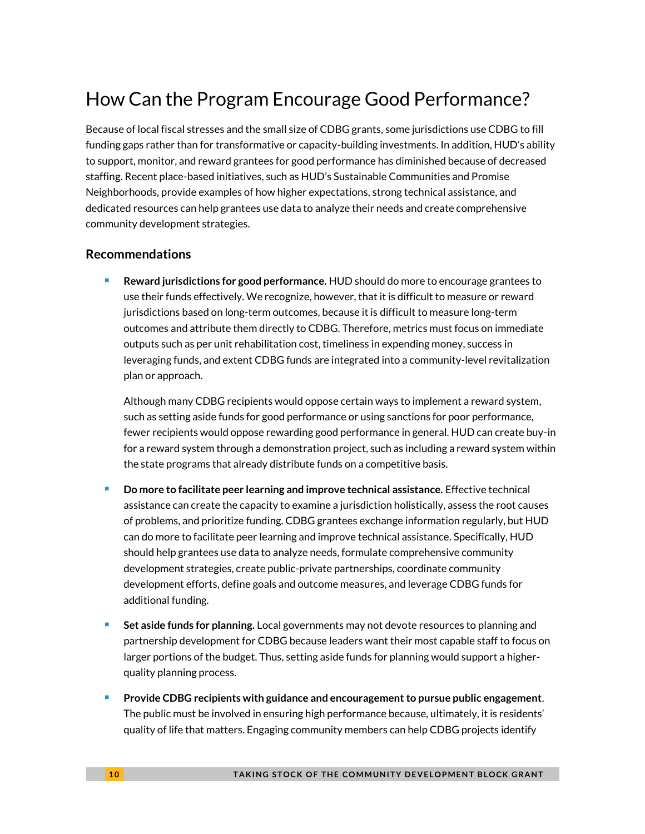# How Can the Program Encourage Good Performance?

Because of local fiscal stresses and the small size of CDBG grants, some jurisdictions use CDBG to fill funding gaps rather than for transformative or capacity-building investments. In addition, HUD's ability to support, monitor, and reward grantees for good performance has diminished because of decreased staffing. Recent place-based initiatives, such as HUD's Sustainable Communities and Promise Neighborhoods, provide examples of how higher expectations, strong technical assistance, and dedicated resources can help grantees use data to analyze their needs and create comprehensive community development strategies.

### **Recommendations**

 **Reward jurisdictions for good performance.** HUD should do more to encourage grantees to use their funds effectively. We recognize, however, that it is difficult to measure or reward jurisdictions based on long-term outcomes, because it is difficult to measure long-term outcomes and attribute them directly to CDBG. Therefore, metrics must focus on immediate outputs such as per unit rehabilitation cost, timeliness in expending money, success in leveraging funds, and extent CDBG funds are integrated into a community-level revitalization plan or approach.

Although many CDBG recipients would oppose certain ways to implement a reward system, such as setting aside funds for good performance or using sanctions for poor performance, fewer recipients would oppose rewarding good performance in general. HUD can create buy-in for a reward system through a demonstration project, such as including a reward system within the state programs that already distribute funds on a competitive basis.

- **Do more to facilitate peer learning and improve technical assistance.** Effective technical assistance can create the capacity to examine a jurisdiction holistically, assess the root causes of problems, and prioritize funding. CDBG grantees exchange information regularly, but HUD can do more to facilitate peer learning and improve technical assistance. Specifically, HUD should help grantees use data to analyze needs, formulate comprehensive community development strategies, create public-private partnerships, coordinate community development efforts, define goals and outcome measures, and leverage CDBG funds for additional funding.
- **Set aside funds for planning.** Local governments may not devote resources to planning and partnership development for CDBG because leaders want their most capable staff to focus on larger portions of the budget. Thus, setting aside funds for planning would support a higherquality planning process.
- **Provide CDBG recipients with guidance and encouragement to pursue public engagement**. The public must be involved in ensuring high performance because, ultimately, it is residents' quality of life that matters. Engaging community members can help CDBG projects identify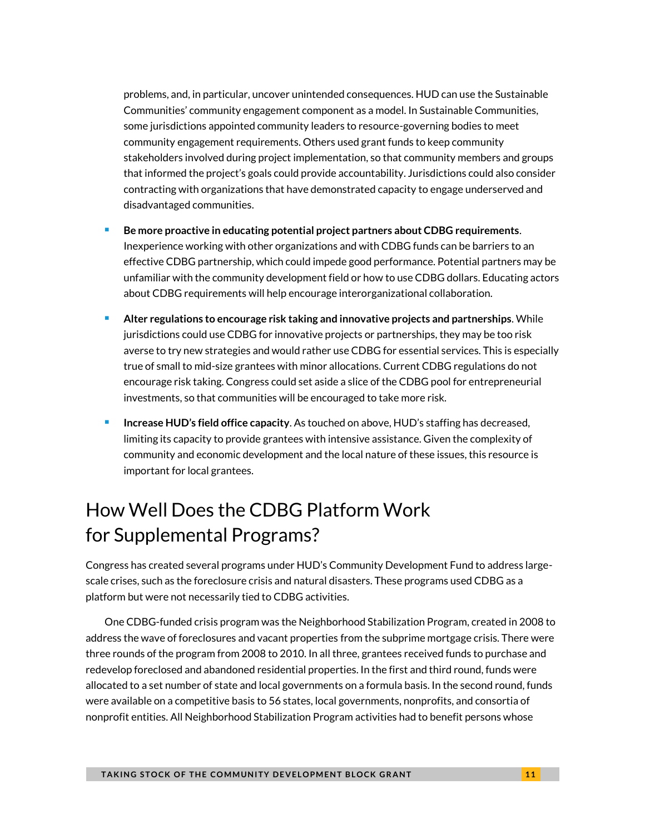problems, and, in particular, uncover unintended consequences. HUD can use the Sustainable Communities' community engagement component as a model. In Sustainable Communities, some jurisdictions appointed community leaders to resource-governing bodies to meet community engagement requirements. Others used grant funds to keep community stakeholders involved during project implementation, so that community members and groups that informed the project's goals could provide accountability. Jurisdictions could also consider contracting with organizations that have demonstrated capacity to engage underserved and disadvantaged communities.

- **Be more proactive in educating potential project partners about CDBG requirements**. Inexperience working with other organizations and with CDBG funds can be barriers to an effective CDBG partnership, which could impede good performance. Potential partners may be unfamiliar with the community development field or how to use CDBG dollars. Educating actors about CDBG requirements will help encourage interorganizational collaboration.
- **Alter regulations to encourage risk taking and innovative projects and partnerships**. While jurisdictions could use CDBG for innovative projects or partnerships, they may be too risk averse to try new strategies and would rather use CDBG for essential services. This is especially true of small to mid-size grantees with minor allocations. Current CDBG regulations do not encourage risk taking. Congress could set aside a slice of the CDBG pool for entrepreneurial investments, so that communities will be encouraged to take more risk.
- **Increase HUD's field office capacity**. As touched on above, HUD's staffing has decreased, limiting its capacity to provide grantees with intensive assistance. Given the complexity of community and economic development and the local nature of these issues, this resource is important for local grantees.

# How Well Does the CDBG Platform Work for Supplemental Programs?

Congress has created several programs under HUD's Community Development Fund to address largescale crises, such as the foreclosure crisis and natural disasters. These programs used CDBG as a platform but were not necessarily tied to CDBG activities.

One CDBG-funded crisis program was the Neighborhood Stabilization Program, created in 2008 to address the wave of foreclosures and vacant properties from the subprime mortgage crisis. There were three rounds of the program from 2008 to 2010. In all three, grantees received funds to purchase and redevelop foreclosed and abandoned residential properties. In the first and third round, funds were allocated to a set number of state and local governments on a formula basis. In the second round, funds were available on a competitive basis to 56 states, local governments, nonprofits, and consortia of nonprofit entities. All Neighborhood Stabilization Program activities had to benefit persons whose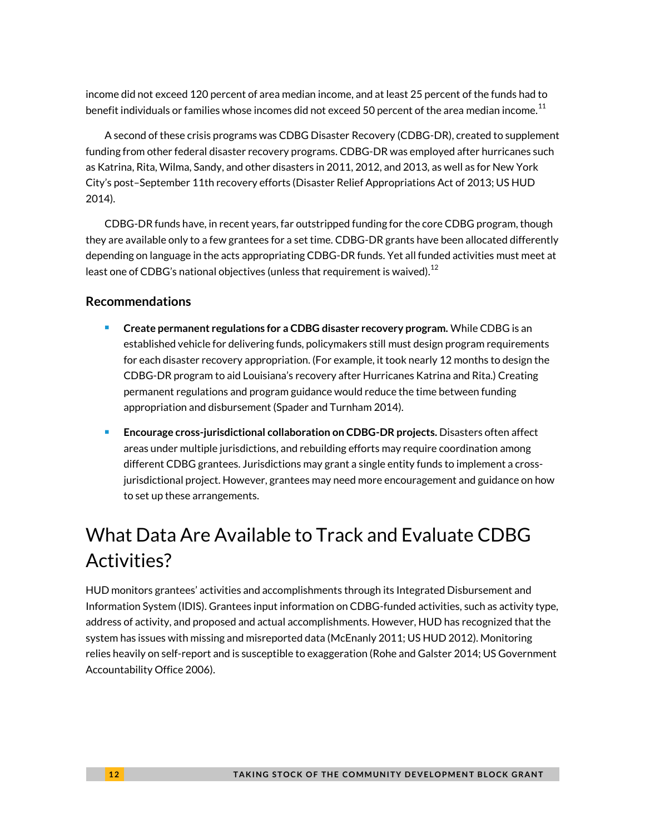income did not exceed 120 percent of area median income, and at least 25 percent of the funds had to benefit individuals or families whose incomes did not exceed 50 percent of the area median income. $^{\rm 11}$  $^{\rm 11}$  $^{\rm 11}$ 

A second of these crisis programs was CDBG Disaster Recovery (CDBG-DR), created to supplement funding from other federal disaster recovery programs. CDBG-DR was employed after hurricanes such as Katrina, Rita, Wilma, Sandy, and other disasters in 2011, 2012, and 2013, as well as for New York City's post–September 11th recovery efforts (Disaster Relief Appropriations Act of 2013; US HUD 2014).

CDBG-DR funds have, in recent years, far outstripped funding for the core CDBG program, though they are available only to a few grantees for a set time. CDBG-DR grants have been allocated differently depending on language in the acts appropriating CDBG-DR funds. Yet all funded activities must meet at least one of CDBG's national objectives (unless that requirement is waived). $^{12}$  $^{12}$  $^{12}$ 

### **Recommendations**

- **Create permanent regulations for a CDBG disaster recovery program.** While CDBG is an established vehicle for delivering funds, policymakers still must design program requirements for each disaster recovery appropriation. (For example, it took nearly 12 months to design the CDBG-DR program to aid Louisiana's recovery after Hurricanes Katrina and Rita.) Creating permanent regulations and program guidance would reduce the time between funding appropriation and disbursement (Spader and Turnham 2014).
- **Encourage cross-jurisdictional collaboration on CDBG-DR projects.** Disasters often affect areas under multiple jurisdictions, and rebuilding efforts may require coordination among different CDBG grantees. Jurisdictions may grant a single entity funds to implement a crossjurisdictional project. However, grantees may need more encouragement and guidance on how to set up these arrangements.

# What Data Are Available to Track and Evaluate CDBG Activities?

HUD monitors grantees' activities and accomplishments through its Integrated Disbursement and Information System (IDIS). Grantees input information on CDBG-funded activities, such as activity type, address of activity, and proposed and actual accomplishments. However, HUD has recognized that the system has issues with missing and misreported data (McEnanly 2011; US HUD 2012). Monitoring relies heavily on self-report and is susceptible to exaggeration (Rohe and Galster 2014; US Government Accountability Office 2006).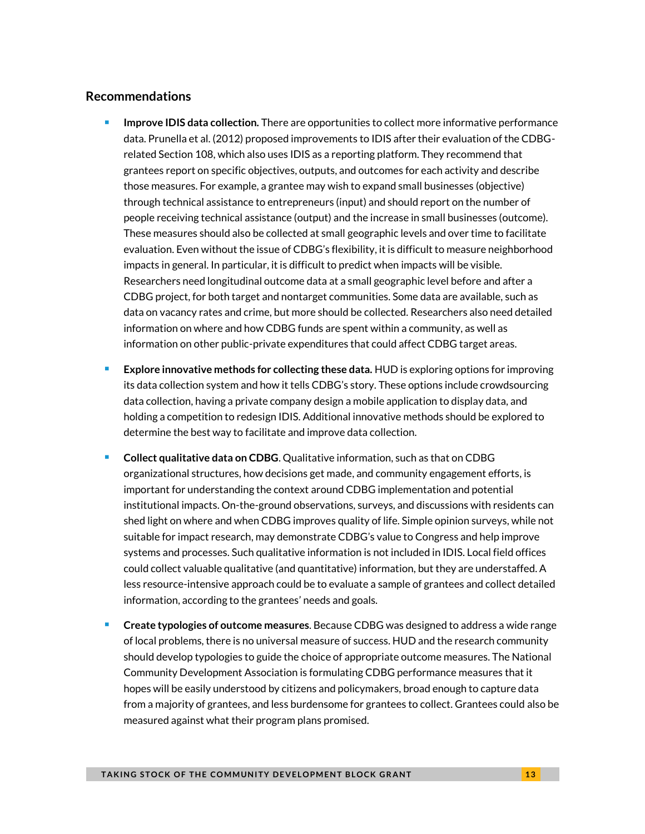#### **Recommendations**

- **Improve IDIS data collection.** There are opportunities to collect more informative performance data. Prunella et al. (2012) proposed improvements to IDIS after their evaluation of the CDBGrelated Section 108, which also uses IDIS as a reporting platform. They recommend that grantees report on specific objectives, outputs, and outcomes for each activity and describe those measures. For example, a grantee may wish to expand small businesses (objective) through technical assistance to entrepreneurs (input) and should report on the number of people receiving technical assistance (output) and the increase in small businesses (outcome). These measures should also be collected at small geographic levels and over time to facilitate evaluation. Even without the issue of CDBG's flexibility, it is difficult to measure neighborhood impacts in general. In particular, it is difficult to predict when impacts will be visible. Researchers need longitudinal outcome data at a small geographic level before and after a CDBG project, for both target and nontarget communities. Some data are available, such as data on vacancy rates and crime, but more should be collected. Researchers also need detailed information on where and how CDBG funds are spent within a community, as well as information on other public-private expenditures that could affect CDBG target areas.
- **Explore innovative methods for collecting these data.** HUD is exploring options for improving its data collection system and how it tells CDBG's story. These options include crowdsourcing data collection, having a private company design a mobile application to display data, and holding a competition to redesign IDIS. Additional innovative methods should be explored to determine the best way to facilitate and improve data collection.
- **Collect qualitative data on CDBG**. Qualitative information, such as that on CDBG organizational structures, how decisions get made, and community engagement efforts, is important for understanding the context around CDBG implementation and potential institutional impacts. On-the-ground observations, surveys, and discussions with residents can shed light on where and when CDBG improves quality of life. Simple opinion surveys, while not suitable for impact research, may demonstrate CDBG's value to Congress and help improve systems and processes. Such qualitative information is not included in IDIS. Local field offices could collect valuable qualitative (and quantitative) information, but they are understaffed. A less resource-intensive approach could be to evaluate a sample of grantees and collect detailed information, according to the grantees' needs and goals.
- **Create typologies of outcome measures**. Because CDBG was designed to address a wide range of local problems, there is no universal measure of success. HUD and the research community should develop typologies to guide the choice of appropriate outcome measures. The National Community Development Association is formulating CDBG performance measures that it hopes will be easily understood by citizens and policymakers, broad enough to capture data from a majority of grantees, and less burdensome for grantees to collect. Grantees could also be measured against what their program plans promised.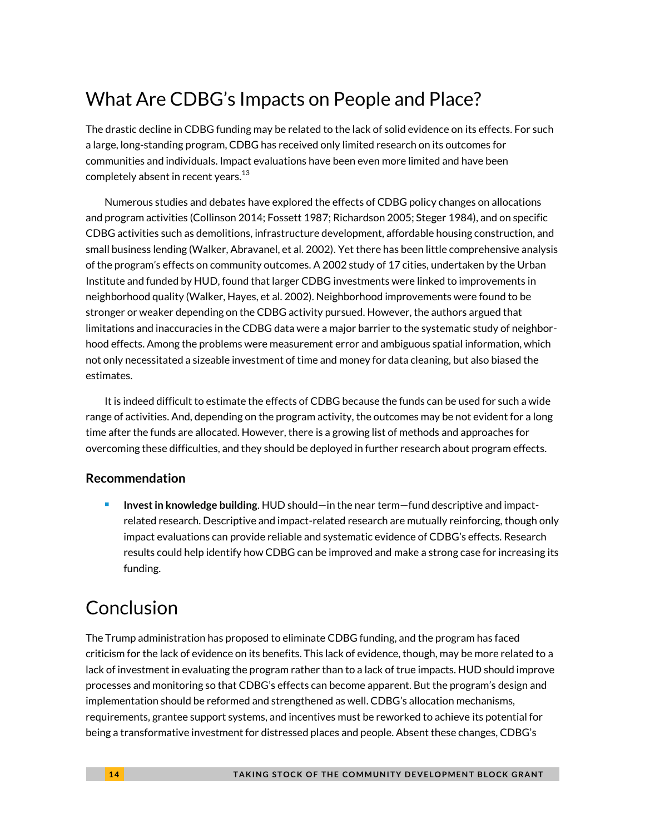# What Are CDBG's Impacts on People and Place?

The drastic decline in CDBG funding may be related to the lack of solid evidence on its effects. For such a large, long-standing program, CDBG has received only limited research on its outcomes for communities and individuals. Impact evaluations have been even more limited and have been completely absent in recent years. $^{13}$  $^{13}$  $^{13}$ 

Numerous studies and debates have explored the effects of CDBG policy changes on allocations and program activities (Collinson 2014; Fossett 1987; Richardson 2005; Steger 1984), and on specific CDBG activities such as demolitions, infrastructure development, affordable housing construction, and small business lending (Walker, Abravanel, et al. 2002). Yet there has been little comprehensive analysis of the program's effects on community outcomes. A 2002 study of 17 cities, undertaken by the Urban Institute and funded by HUD, found that larger CDBG investments were linked to improvements in neighborhood quality (Walker, Hayes, et al. 2002). Neighborhood improvements were found to be stronger or weaker depending on the CDBG activity pursued. However, the authors argued that limitations and inaccuracies in the CDBG data were a major barrier to the systematic study of neighborhood effects. Among the problems were measurement error and ambiguous spatial information, which not only necessitated a sizeable investment of time and money for data cleaning, but also biased the estimates.

It is indeed difficult to estimate the effects of CDBG because the funds can be used for such a wide range of activities. And, depending on the program activity, the outcomes may be not evident for a long time after the funds are allocated. However, there is a growing list of methods and approaches for overcoming these difficulties, and they should be deployed in further research about program effects.

### **Recommendation**

 **Invest in knowledge building**. HUD should—in the near term—fund descriptive and impactrelated research. Descriptive and impact-related research are mutually reinforcing, though only impact evaluations can provide reliable and systematic evidence of CDBG's effects. Research results could help identify how CDBG can be improved and make a strong case for increasing its funding.

# Conclusion

The Trump administration has proposed to eliminate CDBG funding, and the program has faced criticism for the lack of evidence on its benefits. This lack of evidence, though, may be more related to a lack of investment in evaluating the program rather than to a lack of true impacts. HUD should improve processes and monitoring so that CDBG's effects can become apparent. But the program's design and implementation should be reformed and strengthened as well. CDBG's allocation mechanisms, requirements, grantee support systems, and incentives must be reworked to achieve its potential for being a transformative investment for distressed places and people. Absent these changes, CDBG's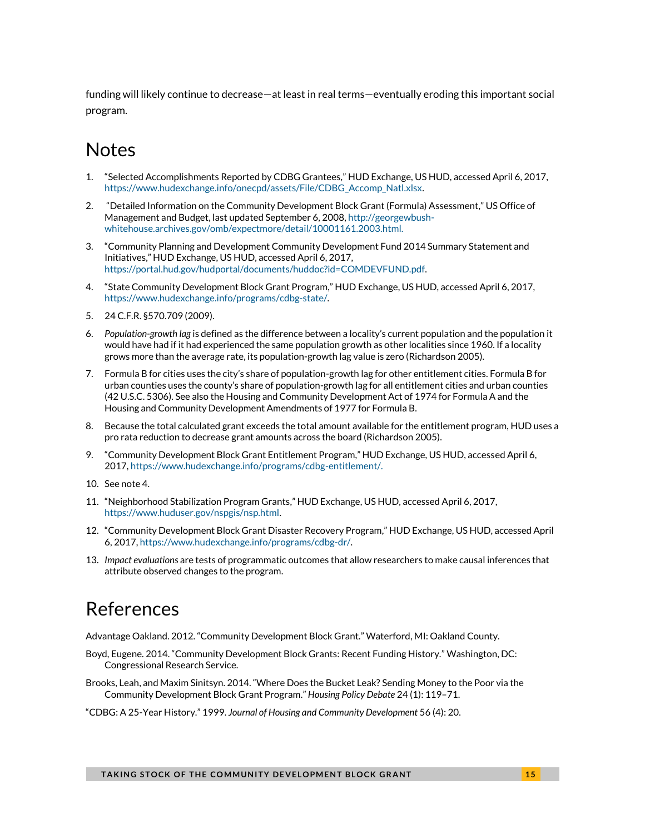funding will likely continue to decrease—at least in real terms—eventually eroding this important social program.

### **Notes**

- <span id="page-14-0"></span>1. "Selected Accomplishments Reported by CDBG Grantees," HUD Exchange, US HUD, accessed April 6, 2017, [https://www.hudexchange.info/onecpd/assets/File/CDBG\\_Accomp\\_Natl.xlsx.](https://www.hudexchange.info/onecpd/assets/File/CDBG_Accomp_Natl.xlsx)
- <span id="page-14-1"></span>2. "Detailed Information on the Community Development Block Grant (Formula) Assessment," US Office of Management and Budget, last updated September 6, 2008, [http://georgewbush](http://georgewbush-whitehouse.archives.gov/omb/expectmore/detail/10001161.2003.html)[whitehouse.archives.gov/omb/expectmore/detail/10001161.2003.html.](http://georgewbush-whitehouse.archives.gov/omb/expectmore/detail/10001161.2003.html)
- <span id="page-14-2"></span>3. "Community Planning and Development Community Development Fund 2014 Summary Statement and Initiatives," HUD Exchange, US HUD, accessed April 6, 2017, [https://portal.hud.gov/hudportal/documents/huddoc?id=COMDEVFUND.pdf.](https://portal.hud.gov/hudportal/documents/huddoc?id=COMDEVFUND.pdf)
- <span id="page-14-3"></span>4. "State Community Development Block Grant Program," HUD Exchange, US HUD, accessed April 6, 2017, [https://www.hudexchange.info/programs/cdbg-state/.](https://www.hudexchange.info/programs/cdbg-state/)
- <span id="page-14-4"></span>5. 24 C.F.R. §570.709 (2009).
- <span id="page-14-5"></span>6. *Population-growth lag* is defined as the difference between a locality's current population and the population it would have had if it had experienced the same population growth as other localities since 1960. If a locality grows more than the average rate, its population-growth lag value is zero (Richardson 2005).
- <span id="page-14-6"></span>7. Formula B for cities uses the city's share of population-growth lag for other entitlement cities. Formula B for urban counties uses the county's share of population-growth lag for all entitlement cities and urban counties (42 U.S.C. 5306). See also the Housing and Community Development Act of 1974 for Formula A and the Housing and Community Development Amendments of 1977 for Formula B.
- <span id="page-14-7"></span>8. Because the total calculated grant exceeds the total amount available for the entitlement program, HUD uses a pro rata reduction to decrease grant amounts across the board (Richardson 2005).
- <span id="page-14-8"></span>9. "Community Development Block Grant Entitlement Program," HUD Exchange, US HUD, accessed April 6, 2017[, https://www.hudexchange.info/programs/cdbg-entitlement/.](https://www.hudexchange.info/programs/cdbg-entitlement/)
- <span id="page-14-9"></span>10. See note 4.
- <span id="page-14-10"></span>11. "Neighborhood Stabilization Program Grants," HUD Exchange, US HUD, accessed April 6, 2017, [https://www.huduser.gov/nspgis/nsp.html.](https://www.huduser.gov/nspgis/nsp.html)
- <span id="page-14-11"></span>12. "Community Development Block Grant Disaster Recovery Program," HUD Exchange, US HUD, accessed April 6, 2017[, https://www.hudexchange.info/programs/cdbg-dr/.](https://www.hudexchange.info/programs/cdbg-dr/)
- <span id="page-14-12"></span>13. *Impact evaluations* are tests of programmatic outcomes that allow researchers to make causal inferences that attribute observed changes to the program.

### References

Advantage Oakland. 2012. "Community Development Block Grant." Waterford, MI: Oakland County.

- Boyd, Eugene. 2014. "Community Development Block Grants: Recent Funding History." Washington, DC: Congressional Research Service.
- Brooks, Leah, and Maxim Sinitsyn. 2014. "Where Does the Bucket Leak? Sending Money to the Poor via the Community Development Block Grant Program." *Housing Policy Debate* 24 (1): 119–71.
- "CDBG: A 25-Year History." 1999. *Journal of Housing and Community Development* 56 (4): 20.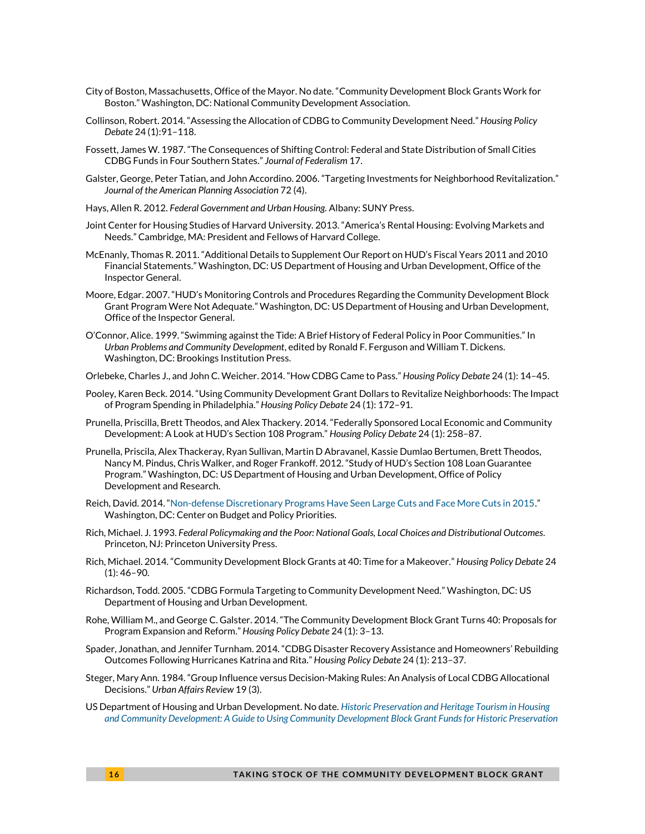- City of Boston, Massachusetts, Office of the Mayor. No date. "Community Development Block Grants Work for Boston." Washington, DC: National Community Development Association.
- Collinson, Robert. 2014. "Assessing the Allocation of CDBG to Community Development Need." *Housing Policy Debate* 24 (1):91–118.
- Fossett, James W. 1987. "The Consequences of Shifting Control: Federal and State Distribution of Small Cities CDBG Funds in Four Southern States." *Journal of Federalism* 17.
- Galster, George, Peter Tatian, and John Accordino. 2006. "Targeting Investments for Neighborhood Revitalization." *Journal of the American Planning Association* 72 (4).
- Hays, Allen R. 2012. *Federal Government and Urban Housing.* Albany: SUNY Press.
- Joint Center for Housing Studies of Harvard University. 2013. "America's Rental Housing: Evolving Markets and Needs." Cambridge, MA: President and Fellows of Harvard College.
- McEnanly, Thomas R. 2011. "Additional Details to Supplement Our Report on HUD's Fiscal Years 2011 and 2010 Financial Statements." Washington, DC: US Department of Housing and Urban Development, Office of the Inspector General.
- Moore, Edgar. 2007. "HUD's Monitoring Controls and Procedures Regarding the Community Development Block Grant Program Were Not Adequate." Washington, DC: US Department of Housing and Urban Development, Office of the Inspector General.
- O'Connor, Alice. 1999. "Swimming against the Tide: A Brief History of Federal Policy in Poor Communities." In *Urban Problems and Community Development*, edited by Ronald F. Ferguson and William T. Dickens. Washington, DC: Brookings Institution Press.
- Orlebeke, Charles J., and John C. Weicher. 2014. "How CDBG Came to Pass." *Housing Policy Debate* 24 (1): 14–45.
- Pooley, Karen Beck. 2014. "Using Community Development Grant Dollars to Revitalize Neighborhoods: The Impact of Program Spending in Philadelphia." *Housing Policy Debate* 24 (1): 172–91.
- Prunella, Priscilla, Brett Theodos, and Alex Thackery. 2014. "Federally Sponsored Local Economic and Community Development: A Look at HUD's Section 108 Program." *Housing Policy Debate* 24 (1): 258–87.
- Prunella, Priscila, Alex Thackeray, Ryan Sullivan, Martin D Abravanel, Kassie Dumlao Bertumen, Brett Theodos, Nancy M. Pindus, Chris Walker, and Roger Frankoff. 2012. "Study of HUD's Section 108 Loan Guarantee Program." Washington, DC: US Department of Housing and Urban Development, Office of Policy Development and Research.
- Reich, David. 2014. "[Non-defense Discretionary Programs Have Seen Large Cuts and Face More Cuts in 2015](http://www.cbpp.org/research/non-defense-discretionary-programs-have-seen-large-cuts-and-face-more-cuts-in-2015?fa=view&id=4232)." Washington, DC: Center on Budget and Policy Priorities.
- Rich, Michael. J. 1993. *Federal Policymaking and the Poor: National Goals, Local Choices and Distributional Outcomes*. Princeton, NJ: Princeton University Press.
- Rich, Michael. 2014. "Community Development Block Grants at 40: Time for a Makeover." *Housing Policy Debate* 24 (1): 46–90.
- Richardson, Todd. 2005. "CDBG Formula Targeting to Community Development Need." Washington, DC: US Department of Housing and Urban Development.
- Rohe, William M., and George C. Galster. 2014. "The Community Development Block Grant Turns 40: Proposals for Program Expansion and Reform." *Housing Policy Debate* 24 (1): 3–13.
- Spader, Jonathan, and Jennifer Turnham. 2014. "CDBG Disaster Recovery Assistance and Homeowners' Rebuilding Outcomes Following Hurricanes Katrina and Rita." *Housing Policy Debate* 24 (1): 213–37.
- Steger, Mary Ann. 1984. "Group Influence versus Decision-Making Rules: An Analysis of Local CDBG Allocational Decisions." *Urban Affairs Review* 19 (3).
- US Department of Housing and Urban Development. No date. *[Historic Preservation and Heritage Tourism in Housing](http://portal.hud.gov/hudportal/documents/huddoc?id=DOC_14211.pdf)  [and Community Development: A Guide to Using Community Development Block Grant Funds for Historic Preservation](http://portal.hud.gov/hudportal/documents/huddoc?id=DOC_14211.pdf)*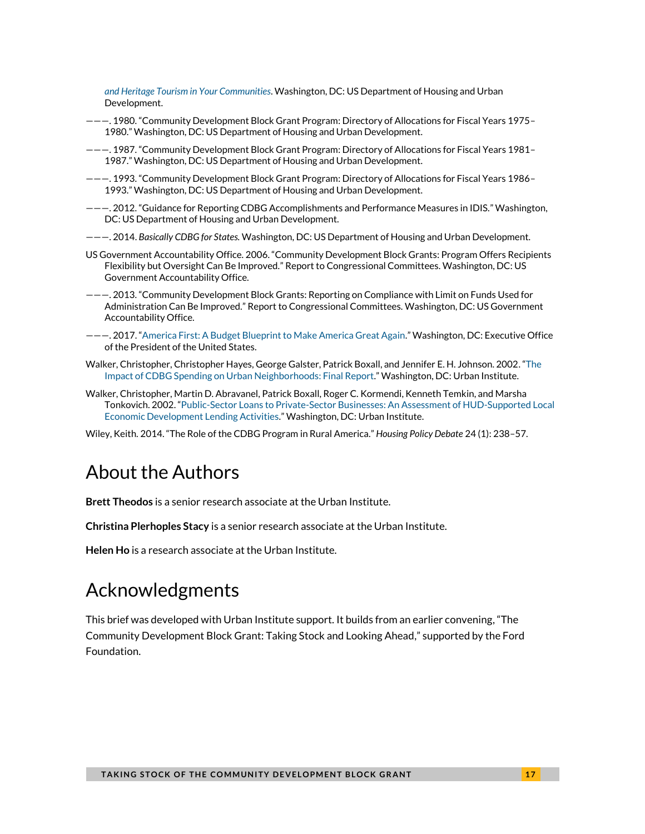*[and Heritage Tourism in Your Communities](http://portal.hud.gov/hudportal/documents/huddoc?id=DOC_14211.pdf)*. Washington, DC: US Department of Housing and Urban Development.

- ———. 1980. "Community Development Block Grant Program: Directory of Allocations for Fiscal Years 1975– 1980." Washington, DC: US Department of Housing and Urban Development.
- ———. 1987. "Community Development Block Grant Program: Directory of Allocations for Fiscal Years 1981– 1987." Washington, DC: US Department of Housing and Urban Development.
- ———. 1993. "Community Development Block Grant Program: Directory of Allocations for Fiscal Years 1986– 1993." Washington, DC: US Department of Housing and Urban Development.
- ———. 2012. "Guidance for Reporting CDBG Accomplishments and Performance Measures in IDIS." Washington, DC: US Department of Housing and Urban Development.
- ———. 2014. *Basically CDBG for States.* Washington, DC: US Department of Housing and Urban Development.
- US Government Accountability Office. 2006. "Community Development Block Grants: Program Offers Recipients Flexibility but Oversight Can Be Improved." Report to Congressional Committees. Washington, DC: US Government Accountability Office.
- ———. 2013. "Community Development Block Grants: Reporting on Compliance with Limit on Funds Used for Administration Can Be Improved." Report to Congressional Committees. Washington, DC: US Government Accountability Office.
- ———. 2017. "[America First: A Budget Blueprint to Make America Great Again.](https://www.whitehouse.gov/sites/whitehouse.gov/files/omb/budget/fy2018/2018_blueprint.pdf)" Washington, DC: Executive Office of the President of the United States.
- Walker, Christopher, Christopher Hayes, George Galster, Patrick Boxall, and Jennifer E. H. Johnson. 2002. "[The](http://www.urban.org/research/publication/impact-cdbg-spending-urban-neighborhoods)  [Impact of CDBG Spending on Urban Neighborhoods: Final Report](http://www.urban.org/research/publication/impact-cdbg-spending-urban-neighborhoods)." Washington, DC: Urban Institute.
- Walker, Christopher, Martin D. Abravanel, Patrick Boxall, Roger C. Kormendi, Kenneth Temkin, and Marsha Tonkovich. 2002. "[Public-Sector Loans to Private-Sector Businesses: An Assessment of HUD-Supported Local](http://www.urban.org/research/publication/public-sector-loans-private-sector-businesses)  [Economic Development Lending Activities](http://www.urban.org/research/publication/public-sector-loans-private-sector-businesses)." Washington, DC: Urban Institute.

Wiley, Keith. 2014. "The Role of the CDBG Program in Rural America." *Housing Policy Debate* 24 (1): 238–57.

### About the Authors

**Brett Theodos** is a senior research associate at the Urban Institute.

**Christina Plerhoples Stacy** is a senior research associate at the Urban Institute.

**Helen Ho** is a research associate at the Urban Institute.

### Acknowledgments

This brief was developed with Urban Institute support. It builds from an earlier convening, "The Community Development Block Grant: Taking Stock and Looking Ahead," supported by the Ford Foundation.